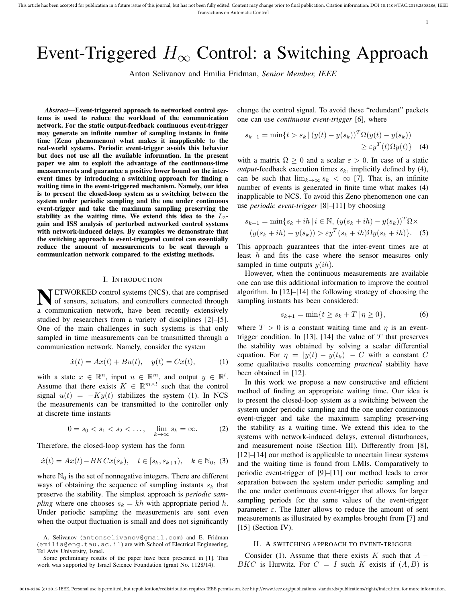1

# Event-Triggered *H<sup>∞</sup>* Control: a Switching Approach

Anton Selivanov and Emilia Fridman, *Senior Member, IEEE*

*Abstract*—Event-triggered approach to networked control systems is used to reduce the workload of the communication network. For the static output-feedback continuous event-trigger may generate an infinite number of sampling instants in finite time (Zeno phenomenon) what makes it inapplicable to the real-world systems. Periodic event-trigger avoids this behavior but does not use all the available information. In the present paper we aim to exploit the advantage of the continuous-time measurements and guarantee a positive lower bound on the interevent times by introducing a switching approach for finding a waiting time in the event-triggered mechanism. Namely, our idea is to present the closed-loop system as a switching between the system under periodic sampling and the one under continuous event-trigger and take the maximum sampling preserving the stability as the waiting time. We extend this idea to the *L*2 gain and ISS analysis of perturbed networked control systems with network-induced delays. By examples we demonstrate that the switching approach to event-triggered control can essentially reduce the amount of measurements to be sent through a communication network compared to the existing methods.

#### I. INTRODUCTION

**NETWORKED control systems (NCS), that are comprised**<br>of sensors, actuators, and controllers connected through of sensors, actuators, and controllers connected through a communication network, have been recently extensively studied by researchers from a variety of disciplines [2]–[5]. One of the main challenges in such systems is that only sampled in time measurements can be transmitted through a communication network. Namely, consider the system

$$
\dot{x}(t) = Ax(t) + Bu(t), \quad y(t) = Cx(t), \tag{1}
$$

with a state  $x \in \mathbb{R}^n$ , input  $u \in \mathbb{R}^m$ , and output  $y \in \mathbb{R}^l$ . Assume that there exists  $K \in \mathbb{R}^{m \times l}$  such that the control signal  $u(t) = -Ky(t)$  stabilizes the system (1). In NCS the measurements can be transmitted to the controller only at discrete time instants

$$
0 = s_0 < s_1 < s_2 < \dots, \quad \lim_{k \to \infty} s_k = \infty.
$$
 (2)

Therefore, the closed-loop system has the form

$$
\dot{x}(t) = Ax(t) - BKCx(s_k), \quad t \in [s_k, s_{k+1}), \quad k \in \mathbb{N}_0,
$$
 (3)

where  $\mathbb{N}_0$  is the set of nonnegative integers. There are different ways of obtaining the sequence of sampling instants *s<sup>k</sup>* that preserve the stability. The simplest approach is *periodic sampling* where one chooses  $s_k = kh$  with appropriate period h. Under periodic sampling the measurements are sent even when the output fluctuation is small and does not significantly change the control signal. To avoid these "redundant" packets one can use *continuous event-trigger* [6], where

$$
s_{k+1} = \min\{t > s_k \mid (y(t) - y(s_k))^T \Omega(y(t) - y(s_k))
$$
  

$$
\geq \varepsilon y^T(t) \Omega y(t)\} \quad (4)
$$

with a matrix  $\Omega > 0$  and a scalar  $\varepsilon > 0$ . In case of a static *output*-feedback execution times  $s_k$ , implicitly defined by (4), can be such that  $\lim_{k\to\infty} s_k < \infty$  [7]. That is, an infinite number of events is generated in finite time what makes (4) inapplicable to NCS. To avoid this Zeno phenomenon one can use *periodic event-trigger* [8]–[11] by choosing

$$
s_{k+1} = \min\{s_k + ih \mid i \in \mathbb{N}, (y(s_k + ih) - y(s_k))^T \Omega \times (y(s_k + ih) - y(s_k)) > \varepsilon y^T (s_k + ih) \Omega y(s_k + ih).
$$
 (5)

This approach guarantees that the inter-event times are at least *h* and fits the case where the sensor measures only sampled in time outputs  $y(ih)$ .

However, when the continuous measurements are available one can use this additional information to improve the control algorithm. In [12]–[14] the following strategy of choosing the sampling instants has been considered:

$$
s_{k+1} = \min\{t \ge s_k + T \,|\, \eta \ge 0\},\tag{6}
$$

where  $T > 0$  is a constant waiting time and  $\eta$  is an eventtrigger condition. In [13], [14] the value of *T* that preserves the stability was obtained by solving a scalar differential equation. For  $\eta = |y(t) - y(t_k)| - C$  with a constant C some qualitative results concerning *practical* stability have been obtained in [12].

In this work we propose a new constructive and efficient method of finding an appropriate waiting time. Our idea is to present the closed-loop system as a switching between the system under periodic sampling and the one under continuous event-trigger and take the maximum sampling preserving the stability as a waiting time. We extend this idea to the systems with network-induced delays, external disturbances, and measurement noise (Section III). Differently from [8], [12]–[14] our method is applicable to uncertain linear systems and the waiting time is found from LMIs. Comparatively to periodic event-trigger of [9]–[11] our method leads to error separation between the system under periodic sampling and the one under continuous event-trigger that allows for larger sampling periods for the same values of the event-trigger parameter  $\varepsilon$ . The latter allows to reduce the amount of sent measurements as illustrated by examples brought from [7] and  $[15]$  (Section IV).

### II. A SWITCHING APPROACH TO EVENT-TRIGGER

Consider (1). Assume that there exists *K* such that *A − BKC* is Hurwitz. For  $C = I$  such *K* exists if  $(A, B)$  is

A. Selivanov (antonselivanov@gmail.com) and E. Fridman (emilia@eng.tau.ac.il) are with School of Electrical Engineering, Tel Aviv University, Israel.

Some preliminary results of the paper have been presented in [1]. This work was supported by Israel Science Foundation (grant No. 1128/14).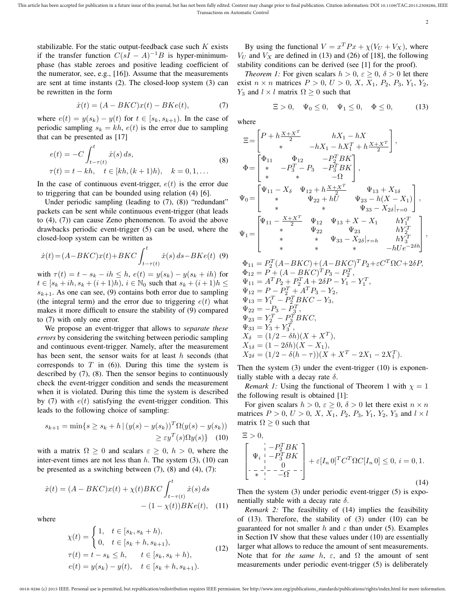2

stabilizable. For the static output-feedback case such *K* exists if the transfer function  $C(sI - A)^{-1}B$  is hyper-minimumphase (has stable zeroes and positive leading coefficient of the numerator, see, e.g., [16]). Assume that the measurements are sent at time instants (2). The closed-loop system (3) can be rewritten in the form

$$
\dot{x}(t) = (A - BKC)x(t) - BKe(t),\tag{7}
$$

where  $e(t) = y(s_k) - y(t)$  for  $t \in [s_k, s_{k+1})$ . In the case of periodic sampling  $s_k = kh$ ,  $e(t)$  is the error due to sampling that can be presented as [17]

$$
e(t) = -C \int_{t-\tau(t)}^{t} \dot{x}(s) ds,
$$
  
\n
$$
\tau(t) = t - kh, \quad t \in [kh, (k+1)h), \quad k = 0, 1, ...
$$
\n(8)

In the case of continuous event-trigger,  $e(t)$  is the error due to triggering that can be bounded using relation (4) [6].

Under periodic sampling (leading to (7), (8)) "redundant" packets can be sent while continuous event-trigger (that leads to (4), (7)) can cause Zeno phenomenon. To avoid the above drawbacks periodic event-trigger (5) can be used, where the closed-loop system can be written as

$$
\dot{x}(t) = (A - BKC)x(t) + BKC \int_{t - \tau(t)}^{t} \dot{x}(s) \, ds - BKe(t) \tag{9}
$$

 $\text{with } \tau(t) = t - s_k - ih \leq h, \ e(t) = y(s_k) - y(s_k + ih) \text{ for }$ *t* ∈  $[s_k + ih, s_k + (i+1)h)$ ,  $i \in \mathbb{N}_0$  such that  $s_k + (i+1)h \leq$  $s_{k+1}$ . As one can see, (9) contains both error due to sampling (the integral term) and the error due to triggering  $e(t)$  what makes it more difficult to ensure the stability of (9) compared to (7) with only one error.

We propose an event-trigger that allows to *separate these errors* by considering the switching between periodic sampling and continuous event-trigger. Namely, after the measurement has been sent, the sensor waits for at least *h* seconds (that corresponds to  $T$  in  $(6)$ ). During this time the system is described by (7), (8). Then the sensor begins to continuously check the event-trigger condition and sends the measurement when it is violated. During this time the system is described by  $(7)$  with  $e(t)$  satisfying the event-trigger condition. This leads to the following choice of sampling:

$$
s_{k+1} = \min\{s \ge s_k + h \mid (y(s) - y(s_k))^T \Omega(y(s) - y(s_k))
$$
  
 
$$
\ge \varepsilon y^T(s) \Omega y(s) \} \tag{10}
$$

with a matrix  $\Omega \geq 0$  and scalars  $\varepsilon \geq 0$ ,  $h > 0$ , where the inter-event times are not less than *h*. The system (3), (10) can be presented as a switching between  $(7)$ ,  $(8)$  and  $(4)$ ,  $(7)$ :

$$
\dot{x}(t) = (A - BKC)x(t) + \chi(t)BKC \int_{t-\tau(t)}^{t} \dot{x}(s) ds \n- (1 - \chi(t))BKe(t), \quad (11)
$$

where

$$
\chi(t) = \begin{cases} 1, & t \in [s_k, s_k + h), \\ 0, & t \in [s_k + h, s_{k+1}), \end{cases}
$$
  
\n
$$
\tau(t) = t - s_k \le h, \qquad t \in [s_k, s_k + h),
$$
  
\n
$$
e(t) = y(s_k) - y(t), \quad t \in [s_k + h, s_{k+1}).
$$
\n(12)

By using the functional  $V = x^T P x + \chi (V_U + V_X)$ , where  $V_U$  and  $V_X$  are defined in (13) and (26) of [18], the following stability conditions can be derived (see [1] for the proof).

*Theorem 1:* For given scalars  $h > 0$ ,  $\varepsilon \ge 0$ ,  $\delta > 0$  let there exist  $n \times n$  matrices  $P > 0$ ,  $U > 0$ ,  $X$ ,  $X_1$ ,  $P_2$ ,  $P_3$ ,  $Y_1$ ,  $Y_2$ , *Y*<sub>3</sub> and *l*  $\times$  *l* matrix  $\Omega \geq 0$  such that

$$
\Xi > 0, \quad \Psi_0 \le 0, \quad \Psi_1 \le 0, \quad \Phi \le 0,\tag{13}
$$

where

$$
\begin{aligned} &\Xi\!=\!\begin{bmatrix}P+h\frac{X+X^T}{2} & hX_1-hX\\ * & -hX_1-hX_1^T+h\frac{X+X^T}{2}\end{bmatrix},\\ &\Phi\!=\!\begin{bmatrix} \Phi_{11} & \Phi_{12} & -P_2^TBK\\ * & -P_3^T-P_3 & -P_3^TBK\\ * & * & -\Omega\end{bmatrix},\\ &\Psi_0\!=\!\begin{bmatrix} \Psi_{11}-X_\delta & \Psi_{12}+h\frac{X+X^T}{2} & \Psi_{13}+X_{1\delta}\\ * & \Psi_{22}+hU & \Psi_{23}-h(X-X_1)\\ * & * & \Psi_{33}-X_{2\delta}|_{\tau=0}\end{bmatrix},\\ &\Psi_1\!=\!\begin{bmatrix} \Psi_{11}-\frac{X+X^T}{2} & \Psi_{12} & \Psi_{13}+X-X_1 & hY_1^T\\ * & * & \Psi_{22} & \Psi_{23} & hY_2^T\\ * & * & * & \Psi_{33}-X_{2\delta}|_{\tau=h} & hY_3^T\\ * & * & * & -hUe^{-2\delta h}\end{bmatrix}, \end{aligned}
$$

 $\Phi_{11} = P_2^T (A - BKC) + (A - BKC)^T P_2 + \varepsilon C^T \Omega C + 2\delta P,$  $\Phi_{12} = P + (A - BKC)^T P_3 - P_2^T$  $\Psi_{11} = A^T P_2 + P_2^T A + 2\delta P - Y_1 - Y_1^T$  $\Psi_{12} = P - P_2^T + A^T P_3 - Y_2,$  $\Psi_{13} = Y_1^T - P_2^T B K C - Y_3,$  $\Psi_{22} = -P_3 - P_3^T$  $\Psi_{23} = Y_2^T - P_3^T B K C$  $\Psi_{33} = Y_3 + Y_3^T$ ,  $X_{\delta} = (1/2 - \delta h)(X + X^T),$  $X_{1\delta} = (1 - 2\delta h)(X - X_1)$  $X_{2\delta} = (1/2 - \delta(h - \tau))(X + X^T - 2X_1 - 2X_1^T)$ .

Then the system (3) under the event-trigger (10) is exponentially stable with a decay rate *δ*.

*Remark 1:* Using the functional of Theorem 1 with  $\chi = 1$ the following result is obtained [1]:

For given scalars  $h > 0$ ,  $\varepsilon \geq 0$ ,  $\delta > 0$  let there exist  $n \times n$ matrices  $P > 0$ ,  $U > 0$ ,  $X$ ,  $X_1$ ,  $P_2$ ,  $P_3$ ,  $Y_1$ ,  $Y_2$ ,  $Y_3$  and  $l \times l$ matrix  $\Omega \geq 0$  such that

$$
\Xi > 0,
$$
\n
$$
\begin{bmatrix}\n- P_2^T B K \\
\Psi_i & - P_3^T B K \\
-\frac{1}{\ast} & -\frac{0}{\ast} - \frac{1}{\ast}\n\end{bmatrix} + \varepsilon [I_n 0]^T C^T \Omega C [I_n 0] \leq 0, i = 0, 1.
$$
\n(14)

Then the system (3) under periodic event-trigger (5) is exponentially stable with a decay rate *δ*.

*Remark 2:* The feasibility of (14) implies the feasibility of (13). Therefore, the stability of (3) under (10) can be guaranteed for not smaller *h* and  $\varepsilon$  than under (5). Examples in Section IV show that these values under (10) are essentially larger what allows to reduce the amount of sent measurements. Note that for *the same*  $h$ ,  $\varepsilon$ , and  $\Omega$  the amount of sent measurements under periodic event-trigger (5) is deliberately

0018-9286 (c) 2015 IEEE. Personal use is permitted, but republication/redistribution requires IEEE permission. See http://www.ieee.org/publications\_standards/publications/rights/index.html for more information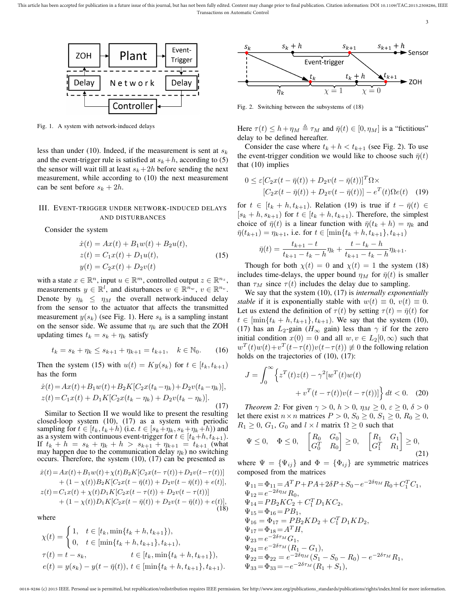This article has been accepted for publication in a future issue of this journal, but has not been fully edited. Content may change prior to final publication. Citation information: DOI 10.1109/TAC.2015.2508286, IEEE Transactions on Automatic Control





Fig. 1. A system with network-induced delays

less than under (10). Indeed, if the measurement is sent at *s<sup>k</sup>* and the event-trigger rule is satisfied at  $s_k + h$ , according to (5) the sensor will wait till at least  $s_k + 2h$  before sending the next measurement, while according to (10) the next measurement can be sent before  $s_k + 2h$ .

# III. EVENT-TRIGGER UNDER NETWORK-INDUCED DELAYS AND DISTURBANCES

Consider the system

$$
\begin{aligned}\n\dot{x}(t) &= Ax(t) + B_1 w(t) + B_2 u(t), \\
z(t) &= C_1 x(t) + D_1 u(t), \\
y(t) &= C_2 x(t) + D_2 v(t)\n\end{aligned} \tag{15}
$$

with a state  $x \in \mathbb{R}^n$ , input  $u \in \mathbb{R}^m$ , controlled output  $z \in \mathbb{R}^{n_z}$ , measurements  $y \in \mathbb{R}^l$ , and disturbances  $w \in \mathbb{R}^{n_w}$ ,  $v \in \mathbb{R}^{n_v}$ . Denote by  $\eta_k \leq \eta_M$  the overall network-induced delay from the sensor to the actuator that affects the transmitted measurement  $y(s_k)$  (see Fig. 1). Here  $s_k$  is a sampling instant on the sensor side. We assume that *η<sup>k</sup>* are such that the ZOH updating times  $t_k = s_k + \eta_k$  satisfy

$$
t_k = s_k + \eta_k \le s_{k+1} + \eta_{k+1} = t_{k+1}, \quad k \in \mathbb{N}_0. \tag{16}
$$

Then the system (15) with  $u(t) = Ky(s_k)$  for  $t \in [t_k, t_{k+1})$ has the form

$$
\dot{x}(t) = Ax(t) + B_1 w(t) + B_2 K [C_2 x(t_k - \eta_k) + D_2 v(t_k - \eta_k)],
$$
  
\n
$$
z(t) = C_1 x(t) + D_1 K [C_2 x(t_k - \eta_k) + D_2 v(t_k - \eta_k)].
$$
\n(17)

Similar to Section II we would like to present the resulting closed-loop system (10), (17) as a system with periodic sampling for  $t \in [t_k, t_k+h)$  (i.e.  $t \in [s_k+\eta_k, s_k+\eta_k+h)$ ) and as a system with continuous event-trigger for  $t \in [t_k+h, t_{k+1})$ . If  $t_k + h = s_k + \eta_k + h > s_{k+1} + \eta_{k+1} = t_{k+1}$  (what may happen due to the communication delay *ηk*) no switching occurs. Therefore, the system (10), (17) can be presented as

$$
\begin{aligned}\n\dot{x}(t) &= Ax(t) + B_1 w(t) + \chi(t) B_2 K[C_2 x(t - \tau(t)) + D_2 v(t - \tau(t))] \\
&\quad + (1 - \chi(t)) B_2 K[C_2 x(t - \bar{\eta}(t)) + D_2 v(t - \bar{\eta}(t)) + e(t)], \\
z(t) &= C_1 x(t) + \chi(t) D_1 K[C_2 x(t - \tau(t)) + D_2 v(t - \tau(t))] \\
&\quad + (1 - \chi(t)) D_1 K[C_2 x(t - \bar{\eta}(t)) + D_2 v(t - \bar{\eta}(t)) + e(t)],\n\end{aligned} \tag{18}
$$

where

$$
\chi(t) = \begin{cases} 1, & t \in [t_k, \min\{t_k + h, t_{k+1}\}), \\ 0, & t \in [\min\{t_k + h, t_{k+1}\}, t_{k+1}), \\ \tau(t) = t - s_k, & t \in [t_k, \min\{t_k + h, t_{k+1}\}), \\ e(t) = y(s_k) - y(t - \bar{\eta}(t)), & t \in [\min\{t_k + h, t_{k+1}\}, t_{k+1}). \end{cases}
$$



Fig. 2. Switching between the subsystems of (18)

Here  $\tau(t) \leq h + \eta_M \triangleq \tau_M$  and  $\bar{\eta}(t) \in [0, \eta_M]$  is a "fictitious" delay to be defined hereafter.

Consider the case where  $t_k + h < t_{k+1}$  (see Fig. 2). To use the event-trigger condition we would like to choose such  $\bar{\eta}(t)$ that (10) implies

$$
0 \leq \varepsilon [C_2 x(t - \bar{\eta}(t)) + D_2 v(t - \bar{\eta}(t))]^T \Omega \times
$$
  

$$
[C_2 x(t - \bar{\eta}(t)) + D_2 v(t - \bar{\eta}(t))] - e^T(t) \Omega e(t)
$$
 (19)

for  $t \in [t_k + h, t_{k+1})$ . Relation (19) is true if  $t - \bar{\eta}(t) \in$  $[s_k + h, s_{k+1})$  for  $t \in [t_k + h, t_{k+1})$ . Therefore, the simplest choice of  $\bar{\eta}(t)$  is a linear function with  $\bar{\eta}(t_k + h) = \eta_k$  and  $\bar{\eta}(t_{k+1}) = \eta_{k+1}$ , i.e. for  $t \in [\min\{t_k + h, t_{k+1}\}, t_{k+1})$ 

$$
\bar{\eta}(t) = \frac{t_{k+1} - t}{t_{k+1} - t_k - h} \eta_k + \frac{t - t_k - h}{t_{k+1} - t_k - h} \eta_{k+1}.
$$

Though for both  $\chi(t) = 0$  and  $\chi(t) = 1$  the system (18) includes time-delays, the upper bound  $\eta_M$  for  $\bar{\eta}(t)$  is smaller than  $\tau_M$  since  $\tau(t)$  includes the delay due to sampling.

We say that the system (10), (17) is *internally exponentially stable* if it is exponentially stable with  $w(t) \equiv 0$ ,  $v(t) \equiv 0$ . Let us extend the definition of  $\tau(t)$  by setting  $\tau(t) = \bar{\eta}(t)$  for  $t \in [\min\{t_k + h, t_{k+1}\}, t_{k+1})$ . We say that the system (10), (17) has an  $L_2$ -gain ( $H_{\infty}$  gain) less than  $\gamma$  if for the zero initial condition  $x(0) = 0$  and all  $w, v \in L_2[0, \infty)$  such that  $w^T(t)w(t)+v^T(t-\tau(t))v(t-\tau(t)) \neq 0$  the following relation holds on the trajectories of (10), (17):

$$
J = \int_0^\infty \left\{ z^T(t)z(t) - \gamma^2 \left[ w^T(t)w(t) + v^T(t - \tau(t))w(t) - \tau(t) \right] \right\} dt < 0. \quad (20)
$$

*Theorem 2:* For given  $\gamma > 0$ ,  $h > 0$ ,  $\eta_M \geq 0$ ,  $\varepsilon \geq 0$ ,  $\delta > 0$ let there exist  $n \times n$  matrices  $P > 0$ ,  $S_0 \ge 0$ ,  $S_1 \ge 0$ ,  $R_0 \ge 0$ ,  $R_1 \geq 0$ ,  $G_1$ ,  $G_0$  and  $l \times l$  matrix  $\Omega \geq 0$  such that

$$
\Psi \le 0, \quad \Phi \le 0, \quad \begin{bmatrix} R_0 & G_0 \\ G_0^T & R_0 \end{bmatrix} \ge 0, \quad \begin{bmatrix} R_1 & G_1 \\ G_1^T & R_1 \end{bmatrix} \ge 0, \tag{21}
$$

where  $\Psi = {\Psi_{ij}}$  and  $\Phi = {\Phi_{ij}}$  are symmetric matrices composed from the matrices

$$
\Psi_{11} = \Phi_{11} = A^T P + PA + 2\delta P + S_0 - e^{-2\delta \eta_M} R_0 + C_1^T C_1,
$$
  
\n
$$
\Psi_{12} = e^{-2\delta \eta_M} R_0,
$$
  
\n
$$
\Psi_{14} = PB_2 K C_2 + C_1^T D_1 K C_2,
$$
  
\n
$$
\Psi_{15} = \Phi_{16} = PB_1,
$$
  
\n
$$
\Psi_{16} = \Phi_{17} = PB_2 K D_2 + C_1^T D_1 K D_2,
$$
  
\n
$$
\Psi_{17} = \Phi_{18} = A^T H,
$$
  
\n
$$
\Psi_{23} = e^{-2\delta \tau_M} G_1,
$$
  
\n
$$
\Psi_{24} = e^{-2\delta \tau_M} (R_1 - G_1),
$$
  
\n
$$
\Psi_{22} = \Phi_{22} = e^{-2\delta \eta_M} (S_1 - S_0 - R_0) - e^{-2\delta \tau_M} R_1,
$$
  
\n
$$
\Psi_{33} = \Phi_{33} = -e^{-2\delta \tau_M} (R_1 + S_1),
$$

0018-9286 (c) 2015 IEEE. Personal use is permitted, but republication/redistribution requires IEEE permission. See http://www.ieee.org/publications\_standards/publications/rights/index.html for more information.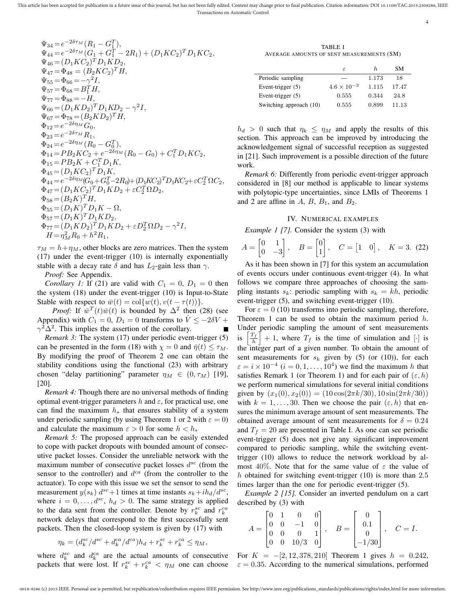This article has been accepted for publication in a future issue of this journal, but has not been fully edited. Content may change prior to final publication. Citation information: DOI 10.1109/TAC.2015.2508286, IEEE Transactions on Automatic Control

$$
\Psi_{34} = e^{-2\delta\tau_M} (R_1 - G_1^T),
$$
\n
$$
\Psi_{44} = e^{-2\delta\tau_M} (G_1 + G_1^T - 2R_1) + (D_1KC_2)^T D_1KC_2,
$$
\n
$$
\Psi_{46} = (D_1 KC_2)^T D_1 KD_2,
$$
\n
$$
\Psi_{47} = \Phi_{48} = (B_2 KC_2)^T H,
$$
\n
$$
\Psi_{55} = \Phi_{66} = -\gamma^2 I,
$$
\n
$$
\Psi_{57} = \Phi_{68} = B_1^T H,
$$
\n
$$
\Psi_{77} = \Phi_{88} = -H,
$$
\n
$$
\Psi_{67} = \Phi_{78} = (B_2 KD_2)^T H,
$$
\n
$$
\Phi_{67} = \Phi_{78} = (B_2 KD_2)^T H,
$$
\n
$$
\Phi_{12} = e^{-2\delta\eta_M} G_0,
$$
\n
$$
\Phi_{23} = e^{-2\delta\eta_M} R_1,
$$
\n
$$
\Phi_{24} = e^{-2\delta\eta_M} (R_0 - G_0^T),
$$
\n
$$
\Phi_{14} = PB_2 KC_2 + e^{-2\delta\eta_M} (R_0 - G_0) + C_1^T D_1 KC_2,
$$
\n
$$
\Phi_{15} = PB_2 K + C_1^T D_1 K,
$$
\n
$$
\Phi_{45} = (D_1 KC_2)^T D_1 K,
$$
\n
$$
\Phi_{44} = e^{-2\delta\eta_M} (G_0 + G_0^T - 2R_0) + (D_1 KC_2)^T D_1 KC_2 + \varepsilon C_2^T \Omega C_2,
$$
\n
$$
\Phi_{47} = (D_1 KC_2)^T D_1 KD_2 + \varepsilon C_2^T \Omega D_2,
$$
\n
$$
\Phi_{58} = (B_2 K)^T H,
$$
\n
$$
\Phi_{55} = (D_1 K)^T D_1 K - \Omega,
$$
\n
$$
\Phi_{57} = (D_1 K)^T D_1 KD_2,
$$
\n
$$
\Phi_{77} = (D_1 KD_2)^T D_1 KD_2 + \varepsilon D_2^T \Omega D_2 - \gamma^2 I,
$$
\n

 $\tau_M = h + \eta_M$ , other blocks are zero matrices. Then the system (17) under the event-trigger (10) is internally exponentially stable with a decay rate  $\delta$  and has  $L_2$ -gain less than  $\gamma$ .

*Proof:* See Appendix.

*Corollary 1:* If (21) are valid with  $C_1 = 0$ ,  $D_1 = 0$  then the system (18) under the event-trigger (10) is Input-to-State Stable with respect to  $\bar{w}(t) = \text{col}\{w(t), v(t - \tau(t))\}.$ 

*Proof:* If  $\overline{w}^T(t)\overline{w}(t)$  is bounded by  $\Delta^2$  then (28) (see Appendix) with  $C_1 = 0$ ,  $D_1 = 0$  transforms to  $\dot{V} \le -2\delta V +$  $\gamma^2 \Delta^2$ . This implies the assertion of the corollary.

*Remark 3:* The system (17) under periodic event-trigger (5) can be presented in the form (18) with  $\chi = 0$  and  $\bar{\eta}(t) \leq \tau_M$ . By modifying the proof of Theorem 2 one can obtain the stability conditions using the functional (23) with arbitrary chosen "delay partitioning" parameter  $\eta_M \in (0, \tau_M)$  [19], [20].

*Remark 4:* Though there are no universal methods of finding optimal event-trigger parameters  $h$  and  $\varepsilon$ , for practical use, one can find the maximum *h<sup>∗</sup>* that ensures stability of a system under periodic sampling (by using Theorem 1 or 2 with  $\varepsilon = 0$ ) and calculate the maximum  $\varepsilon > 0$  for some  $h < h_*$ 

*Remark 5:* The proposed approach can be easily extended to cope with packet dropouts with bounded amount of consecutive packet losses. Consider the unreliable network with the maximum number of consecutive packet losses *d sc* (from the sensor to the controller) and  $d^{ca}$  (from the controller to the actuator). To cope with this issue we set the sensor to send the measurement  $y(s_k)$   $d^{sc}+1$  times at time instants  $s_k + ih_d/d^{sc}$ , where  $i = 0, \ldots, d^{sc}, h_d > 0$ . The same strategy is applied to the data sent from the controller. Denote by  $r_k^{sc}$  and  $r_k^{ca}$ network delays that correspond to the first successfully sent packets. Then the closed-loop system is given by (17) with

$$
\eta_k = (d_k^{sc}/d^{sc} + d_k^{ca}/d^{ca})h_d + r_k^{sc} + r_k^{ca} \le \eta_M,
$$

packets that were lost. If  $r_k^{sc} + r_k^{ca} < \eta_M$  one can choose  $\varepsilon = 0.35$ . According to the numerical simulations, performed

TABLE I AVERAGE AMOUNTS OF SENT MEASUREMENTS (SM)

4

|                         | F.                   | h.    | SМ    |
|-------------------------|----------------------|-------|-------|
| Periodic sampling       |                      | 1.173 | 18    |
| Event-trigger $(5)$     | $4.6 \times 10^{-3}$ | 1.115 | 17.47 |
| Event-trigger $(5)$     | 0.555                | 0.344 | 24.8  |
| Switching approach (10) | 0.555                | 0.899 | 11.13 |

 $h_d$  > 0 such that  $\eta_k \leq \eta_M$  and apply the results of this section. This approach can be improved by introducing the acknowledgement signal of successful reception as suggested in [21]. Such improvement is a possible direction of the future work.

*Remark 6:* Differently from periodic event-trigger approach considered in [8] our method is applicable to linear systems with polytopic-type uncertainties, since LMIs of Theorems 1 and 2 are affine in  $A$ ,  $B$ ,  $B_1$ , and  $B_2$ .

# IV. NUMERICAL EXAMPLES

*Example 1 [7].* Consider the system (3) with

$$
A = \begin{bmatrix} 0 & 1 \\ 0 & -3 \end{bmatrix}, \quad B = \begin{bmatrix} 0 \\ 1 \end{bmatrix}, \quad C = \begin{bmatrix} 1 & 0 \end{bmatrix}, \quad K = 3. \tag{22}
$$

As it has been shown in [7] for this system an accumulation of events occurs under continuous event-trigger (4). In what follows we compare three approaches of choosing the sampling instants  $s_k$ : periodic sampling with  $s_k = kh$ , periodic event-trigger (5), and switching event-trigger (10).

For  $\varepsilon = 0$  (10) transforms into periodic sampling, therefore, Theorem 1 can be used to obtain the maximum period *h*. Under periodic sampling the amount of sent measurements is  $\frac{T_f}{h}$  $+1$ , where  $T_f$  is the time of simulation and [*·*] is the integer part of a given number. To obtain the amount of sent measurements for  $s_k$  given by (5) (or (10)), for each  $\varepsilon = i \times 10^{-4}$  ( $i = 0, 1, \dots, 10^{4}$ ) we find the maximum *h* that satisfies Remark 1 (or Theorem 1) and for each pair of  $(\varepsilon, h)$ we perform numerical simulations for several initial conditions given by  $(x_1(0), x_2(0)) = (10 \cos(2\pi k/30), 10 \sin(2\pi k/30))$ with  $k = 1, \ldots, 30$ . Then we choose the pair  $(\varepsilon, h)$  that ensures the minimum average amount of sent measurements. The obtained average amount of sent measurements for  $\delta = 0.24$ and  $T_f = 20$  are presented in Table I. As one can see periodic event-trigger (5) does not give any significant improvement compared to periodic sampling, while the switching eventtrigger (10) allows to reduce the network workload by almost 40%. Note that for the same value of *ε* the value of *h* obtained for switching event-trigger (10) is more than 2*.*5 times larger than the one for periodic event-trigger (5).

*Example 2 [15].* Consider an inverted pendulum on a cart described by (3) with

$$
A = \begin{bmatrix} 0 & 1 & 0 & 0 \\ 0 & 0 & -1 & 0 \\ 0 & 0 & 0 & 1 \\ 0 & 0 & 10/3 & 0 \end{bmatrix}, \quad B = \begin{bmatrix} 0 \\ 0.1 \\ 0 \\ -1/30 \end{bmatrix}, \quad C = I.
$$

where  $d_k^{sc}$  and  $d_k^{ca}$  are the actual amounts of consecutive For  $K = -[2, 12, 378, 210]$  Theorem 1 gives  $h = 0.242$ ,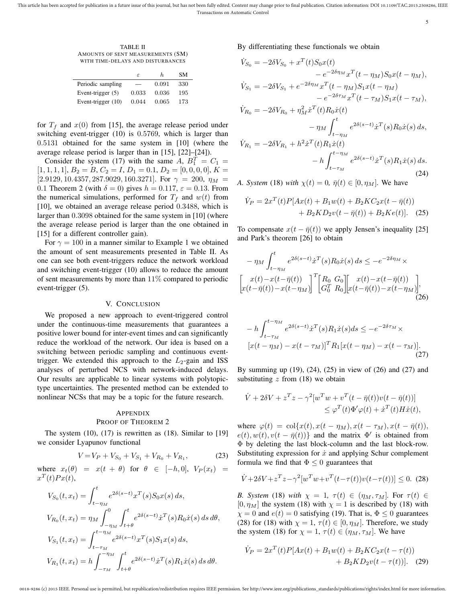This article has been accepted for publication in a future issue of this journal, but has not been fully edited. Content may change prior to final publication. Citation information: DOI 10.1109/TAC.2015.2508286, IEEE Transactions on Automatic Control

5

TABLE II AMOUNTS OF SENT MEASUREMENTS (SM) WITH TIME-DELAYS AND DISTURBANCES

|                     | F     | h.    | SМ  |
|---------------------|-------|-------|-----|
| Periodic sampling   |       | 0.091 | 330 |
| Event-trigger $(5)$ | 0.033 | 0.036 | 195 |
| Event-trigger (10)  | 0.044 | 0.065 | 173 |

for  $T_f$  and  $x(0)$  from [15], the average release period under switching event-trigger (10) is 0*.*5769, which is larger than 0*.*5131 obtained for the same system in [10] (where the average release period is larger than in [15], [22]–[24]).

Consider the system (17) with the same  $A, B_1^T = C_1 =$  $[1, 1, 1, 1], B_2 = B, C_2 = I, D_1 = 0.1, D_2 = [0, 0, 0, 0], K =$ [2*.*9129*,* 10*.*4357*,* 287*.*9029*,* 160*.*3271]. For *γ* = 200, *η<sup>M</sup>* = 0.1 Theorem 2 (with  $\delta = 0$ ) gives  $h = 0.117$ ,  $\varepsilon = 0.13$ . From the numerical simulations, performed for  $T_f$  and  $w(t)$  from [10], we obtained an average release period 0*.*3488, which is larger than 0*.*3098 obtained for the same system in [10] (where the average release period is larger than the one obtained in [15] for a different controller gain).

For  $\gamma = 100$  in a manner similar to Example 1 we obtained the amount of sent measurements presented in Table II. As one can see both event-triggers reduce the network workload and switching event-trigger (10) allows to reduce the amount of sent measurements by more than 11% compared to periodic event-trigger (5).

#### V. CONCLUSION

We proposed a new approach to event-triggered control under the continuous-time measurements that guarantees a positive lower bound for inter-event times and can significantly reduce the workload of the network. Our idea is based on a switching between periodic sampling and continuous eventtrigger. We extended this approach to the  $L_2$ -gain and ISS analyses of perturbed NCS with network-induced delays. Our results are applicable to linear systems with polytopictype uncertainties. The presented method can be extended to nonlinear NCSs that may be a topic for the future research.

# APPENDIX PROOF OF THEOREM 2

The system  $(10)$ ,  $(17)$  is rewritten as  $(18)$ . Similar to [19] we consider Lyapunov functional

$$
V = V_P + V_{S_0} + V_{S_1} + V_{R_0} + V_{R_1},\tag{23}
$$

where  $x_t(\theta) = x(t + \theta)$  for  $\theta \in [-h, 0], V_P(x_t) =$  $x^T(t)Px(t),$ 

$$
V_{S_0}(t, x_t) = \int_{t-\eta_M}^t e^{2\delta(s-t)} x^T(s) S_0 x(s) ds,
$$
  
\n
$$
V_{R_0}(t, x_t) = \eta_M \int_{-\eta_M}^0 \int_{t+\theta}^t e^{2\delta(s-t)} x^T(s) R_0 \dot{x}(s) ds d\theta,
$$
  
\n
$$
V_{S_1}(t, x_t) = \int_{t-\tau_M}^{t-\eta_M} e^{2\delta(s-t)} x^T(s) S_1 x(s) ds,
$$
  
\n
$$
V_{R_1}(t, x_t) = h \int_{-\tau_M}^{-\eta_M} \int_{t+\theta}^t e^{2\delta(s-t)} \dot{x}^T(s) R_1 \dot{x}(s) ds d\theta.
$$

By differentiating these functionals we obtain

$$
\dot{V}_{S_0} = -2\delta V_{S_0} + x^T(t)S_0x(t) \n- e^{-2\delta\eta_M}x^T(t - \eta_M)S_0x(t - \eta_M), \n\dot{V}_{S_1} = -2\delta V_{S_1} + e^{-2\delta\eta_M}x^T(t - \eta_M)S_1x(t - \eta_M) \n- e^{-2\delta\tau_M}x^T(t - \tau_M)S_1x(t - \tau_M), \n\dot{V}_{R_0} = -2\delta V_{R_0} + \eta_M^2\dot{x}^T(t)R_0\dot{x}(t) \n- \eta_M \int_{t - \eta_M}^t e^{2\delta(s - t)}\dot{x}^T(s)R_0\dot{x}(s) ds, \n\dot{V}_{R_1} = -2\delta V_{R_1} + h^2\dot{x}^T(t)R_1\dot{x}(t) \n- h \int_{t - \tau_M}^{t - \eta_M} e^{2\delta(s - t)}\dot{x}^T(s)R_1\dot{x}(s) ds.
$$
\n(24)

*A. System* (18) *with*  $\chi(t) = 0$ ,  $\bar{\eta}(t) \in [0, \eta_M]$ . We have

$$
\dot{V}_P = 2x^T(t)P[Ax(t) + B_1w(t) + B_2KC_2x(t - \bar{\eta}(t)) + B_2KD_2v(t - \bar{\eta}(t)) + B_2Ke(t)].
$$
 (25)

To compensate  $x(t - \bar{\eta}(t))$  we apply Jensen's inequality [25] and Park's theorem [26] to obtain

$$
-\eta_M \int_{t-\eta_M}^t e^{2\delta(s-t)} \dot{x}^T(s) R_0 \dot{x}(s) ds \le -e^{-2\delta\eta_M} \times \n\left[ x(t) - x(t-\bar{\eta}(t)) \atop x(t-\bar{\eta}(t)) - x(t-\eta_M) \right]^T \left[ \begin{matrix} R_0 & G_0 \\ G_0^T & R_0 \end{matrix} \right] \left[ x(t) - x(t-\bar{\eta}(t)) \atop x(t-\bar{\eta}(t)) - x(t-\eta_M) \right],
$$
\n(26)

$$
- h \int_{t-\tau_M}^{t-\eta_M} e^{2\delta(s-t)} \dot{x}^T(s) R_1 \dot{x}(s) ds \le -e^{-2\delta\tau_M} \times [x(t-\eta_M) - x(t-\tau_M)]^T R_1 [x(t-\eta_M) - x(t-\tau_M)].
$$
\n(27)

By summing up (19), (24), (25) in view of (26) and (27) and substituting *z* from (18) we obtain

$$
\dot{V} + 2\delta V + z^T z - \gamma^2 [w^T w + v^T (t - \bar{\eta}(t)) v(t - \bar{\eta}(t))]
$$
  
\n
$$
\leq \varphi^T (t) \Phi' \varphi(t) + \dot{x}^T (t) H \dot{x}(t),
$$

where  $\varphi(t) = \text{col}\{x(t), x(t - \eta_M), x(t - \tau_M), x(t - \bar{\eta}(t)),$  $e(t)$ ,  $w(t)$ ,  $v(t - \bar{\eta}(t))$ } and the matrix  $\Phi'$  is obtained from Φ by deleting the last block-column and the last block-row. Substituting expression for *x*˙ and applying Schur complement formula we find that  $\Phi \leq 0$  guarantees that

$$
\dot{V} + 2\delta V + z^T z - \gamma^2 [w^T w + v^T (t - \tau(t)) v(t - \tau(t))] \le 0.
$$
 (28)

*B.* System (18) with  $\chi = 1$ ,  $\tau(t) \in (\eta_M, \tau_M]$ . For  $\tau(t) \in$  $[0, \eta_M]$  the system (18) with  $\chi = 1$  is described by (18) with  $\chi = 0$  and  $e(t) = 0$  satisfying (19). That is,  $\Phi \le 0$  guarantees (28) for (18) with  $\chi = 1$ ,  $\tau(t) \in [0, \eta_M]$ . Therefore, we study the system (18) for  $\chi = 1$ ,  $\tau(t) \in (\eta_M, \tau_M]$ . We have

$$
\dot{V}_P = 2x^T(t)P[Ax(t) + B_1w(t) + B_2KC_2x(t - \tau(t)) + B_2KD_2v(t - \tau(t))].
$$
 (29)

0018-9286 (c) 2015 IEEE. Personal use is permitted, but republication/redistribution requires IEEE permission. See http://www.ieee.org/publications\_standards/publications/rights/index.html for more information.